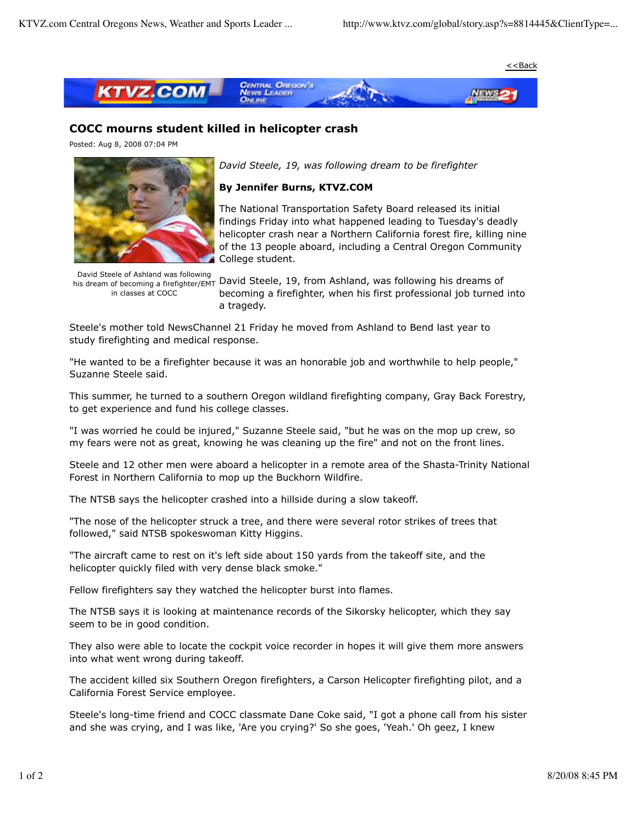

## **COCC mourns student killed in helicopter crash**

Posted: Aug 8, 2008 07:04 PM



*David Steele, 19, was following dream to be firefighter*

## **By Jennifer Burns, KTVZ.COM**

The National Transportation Safety Board released its initial findings Friday into what happened leading to Tuesday's deadly helicopter crash near a Northern California forest fire, killing nine of the 13 people aboard, including a Central Oregon Community College student.

David Steele of Ashland was following in classes at COCC

**Barta Steele of Ashland Was following** David Steele, 19, from Ashland, was following his dreams of becoming a firefighter, when his first professional job turned into a tragedy.

Steele's mother told NewsChannel 21 Friday he moved from Ashland to Bend last year to study firefighting and medical response.

"He wanted to be a firefighter because it was an honorable job and worthwhile to help people," Suzanne Steele said.

This summer, he turned to a southern Oregon wildland firefighting company, Gray Back Forestry, to get experience and fund his college classes.

"I was worried he could be injured," Suzanne Steele said, "but he was on the mop up crew, so my fears were not as great, knowing he was cleaning up the fire" and not on the front lines.

Steele and 12 other men were aboard a helicopter in a remote area of the Shasta-Trinity National Forest in Northern California to mop up the Buckhorn Wildfire.

The NTSB says the helicopter crashed into a hillside during a slow takeoff.

"The nose of the helicopter struck a tree, and there were several rotor strikes of trees that followed," said NTSB spokeswoman Kitty Higgins.

"The aircraft came to rest on it's left side about 150 yards from the takeoff site, and the helicopter quickly filed with very dense black smoke."

Fellow firefighters say they watched the helicopter burst into flames.

The NTSB says it is looking at maintenance records of the Sikorsky helicopter, which they say seem to be in good condition.

They also were able to locate the cockpit voice recorder in hopes it will give them more answers into what went wrong during takeoff.

The accident killed six Southern Oregon firefighters, a Carson Helicopter firefighting pilot, and a California Forest Service employee.

Steele's long-time friend and COCC classmate Dane Coke said, "I got a phone call from his sister and she was crying, and I was like, 'Are you crying?' So she goes, 'Yeah.' Oh geez, I knew